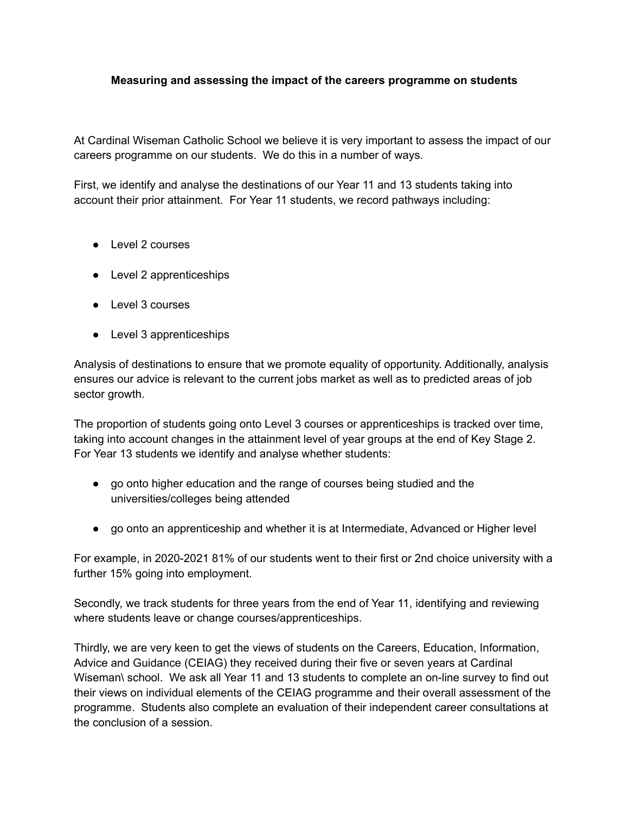## **Measuring and assessing the impact of the careers programme on students**

At Cardinal Wiseman Catholic School we believe it is very important to assess the impact of our careers programme on our students. We do this in a number of ways.

First, we identify and analyse the destinations of our Year 11 and 13 students taking into account their prior attainment. For Year 11 students, we record pathways including:

- Level 2 courses
- Level 2 apprenticeships
- Level 3 courses
- Level 3 apprenticeships

Analysis of destinations to ensure that we promote equality of opportunity. Additionally, analysis ensures our advice is relevant to the current jobs market as well as to predicted areas of job sector growth.

The proportion of students going onto Level 3 courses or apprenticeships is tracked over time, taking into account changes in the attainment level of year groups at the end of Key Stage 2. For Year 13 students we identify and analyse whether students:

- go onto higher education and the range of courses being studied and the universities/colleges being attended
- go onto an apprenticeship and whether it is at Intermediate, Advanced or Higher level

For example, in 2020-2021 81% of our students went to their first or 2nd choice university with a further 15% going into employment.

Secondly, we track students for three years from the end of Year 11, identifying and reviewing where students leave or change courses/apprenticeships.

Thirdly, we are very keen to get the views of students on the Careers, Education, Information, Advice and Guidance (CEIAG) they received during their five or seven years at Cardinal Wiseman\ school. We ask all Year 11 and 13 students to complete an on-line survey to find out their views on individual elements of the CEIAG programme and their overall assessment of the programme. Students also complete an evaluation of their independent career consultations at the conclusion of a session.